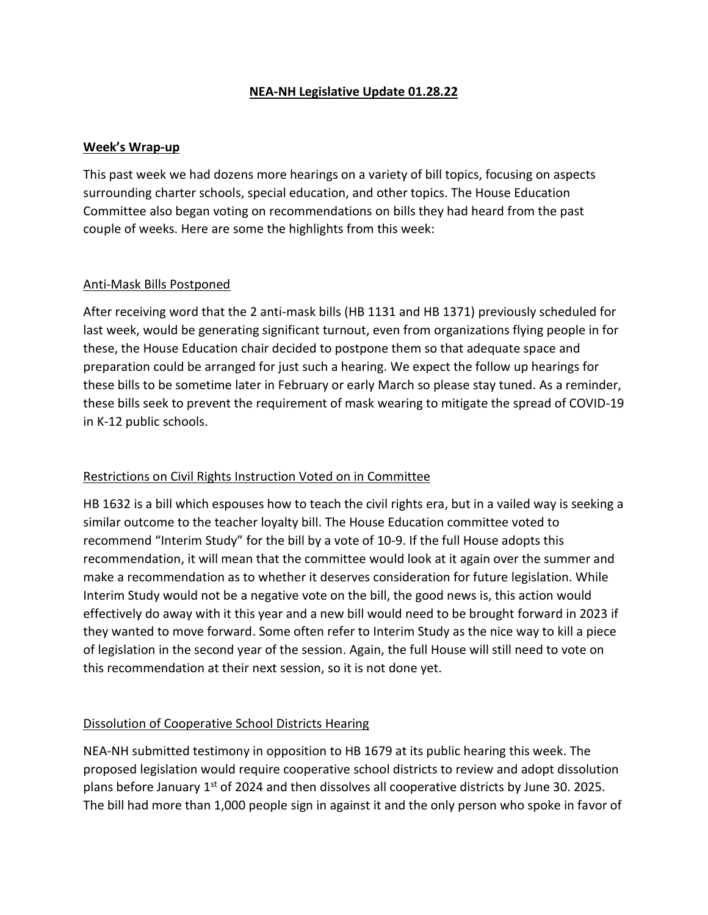## **NEA-NH Legislative Update 01.28.22**

#### **Week's Wrap-up**

This past week we had dozens more hearings on a variety of bill topics, focusing on aspects surrounding charter schools, special education, and other topics. The House Education Committee also began voting on recommendations on bills they had heard from the past couple of weeks. Here are some the highlights from this week:

#### Anti-Mask Bills Postponed

After receiving word that the 2 anti-mask bills (HB 1131 and HB 1371) previously scheduled for last week, would be generating significant turnout, even from organizations flying people in for these, the House Education chair decided to postpone them so that adequate space and preparation could be arranged for just such a hearing. We expect the follow up hearings for these bills to be sometime later in February or early March so please stay tuned. As a reminder, these bills seek to prevent the requirement of mask wearing to mitigate the spread of COVID-19 in K-12 public schools.

## Restrictions on Civil Rights Instruction Voted on in Committee

HB 1632 is a bill which espouses how to teach the civil rights era, but in a vailed way is seeking a similar outcome to the teacher loyalty bill. The House Education committee voted to recommend "Interim Study" for the bill by a vote of 10-9. If the full House adopts this recommendation, it will mean that the committee would look at it again over the summer and make a recommendation as to whether it deserves consideration for future legislation. While Interim Study would not be a negative vote on the bill, the good news is, this action would effectively do away with it this year and a new bill would need to be brought forward in 2023 if they wanted to move forward. Some often refer to Interim Study as the nice way to kill a piece of legislation in the second year of the session. Again, the full House will still need to vote on this recommendation at their next session, so it is not done yet.

## Dissolution of Cooperative School Districts Hearing

NEA-NH submitted testimony in opposition to HB 1679 at its public hearing this week. The proposed legislation would require cooperative school districts to review and adopt dissolution plans before January  $1<sup>st</sup>$  of 2024 and then dissolves all cooperative districts by June 30. 2025. The bill had more than 1,000 people sign in against it and the only person who spoke in favor of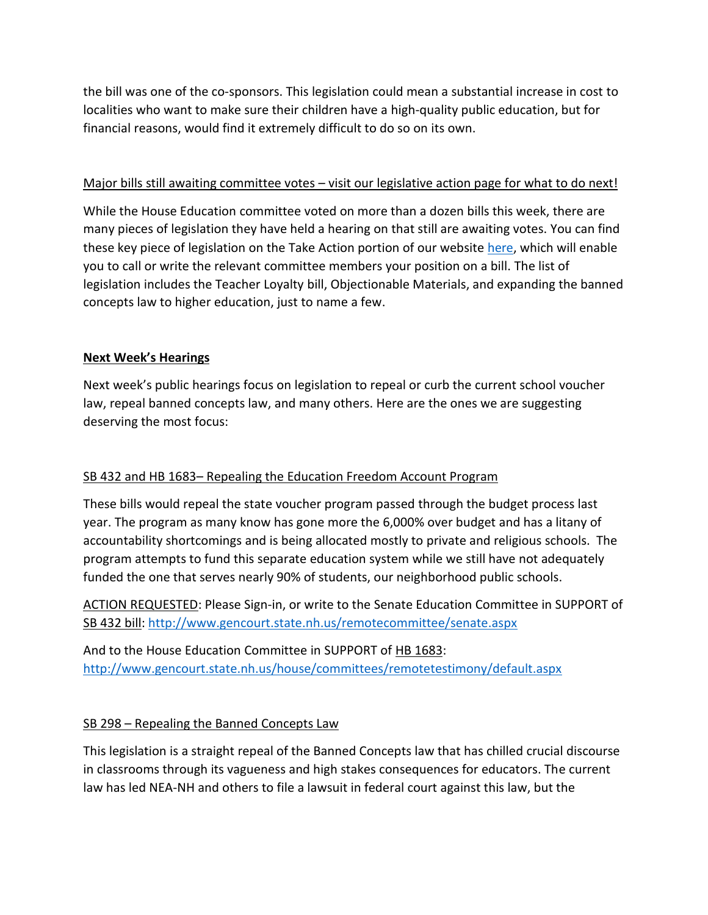the bill was one of the co-sponsors. This legislation could mean a substantial increase in cost to localities who want to make sure their children have a high-quality public education, but for financial reasons, would find it extremely difficult to do so on its own.

## Major bills still awaiting committee votes – visit our legislative action page for what to do next!

While the House Education committee voted on more than a dozen bills this week, there are many pieces of legislation they have held a hearing on that still are awaiting votes. You can find these key piece of legislation on the Take Action portion of our website [here,](https://neanh.org/nea-nh-legislative-dashboard/nea-nh-legislative-take-action-center/) which will enable you to call or write the relevant committee members your position on a bill. The list of legislation includes the Teacher Loyalty bill, Objectionable Materials, and expanding the banned concepts law to higher education, just to name a few.

#### **Next Week's Hearings**

Next week's public hearings focus on legislation to repeal or curb the current school voucher law, repeal banned concepts law, and many others. Here are the ones we are suggesting deserving the most focus:

## SB 432 and HB 1683– Repealing the Education Freedom Account Program

These bills would repeal the state voucher program passed through the budget process last year. The program as many know has gone more the 6,000% over budget and has a litany of accountability shortcomings and is being allocated mostly to private and religious schools. The program attempts to fund this separate education system while we still have not adequately funded the one that serves nearly 90% of students, our neighborhood public schools.

ACTION REQUESTED: Please Sign-in, or write to the Senate Education Committee in SUPPORT of SB 432 bill:<http://www.gencourt.state.nh.us/remotecommittee/senate.aspx>

And to the House Education Committee in SUPPORT of HB 1683: <http://www.gencourt.state.nh.us/house/committees/remotetestimony/default.aspx>

## SB 298 – Repealing the Banned Concepts Law

This legislation is a straight repeal of the Banned Concepts law that has chilled crucial discourse in classrooms through its vagueness and high stakes consequences for educators. The current law has led NEA-NH and others to file a lawsuit in federal court against this law, but the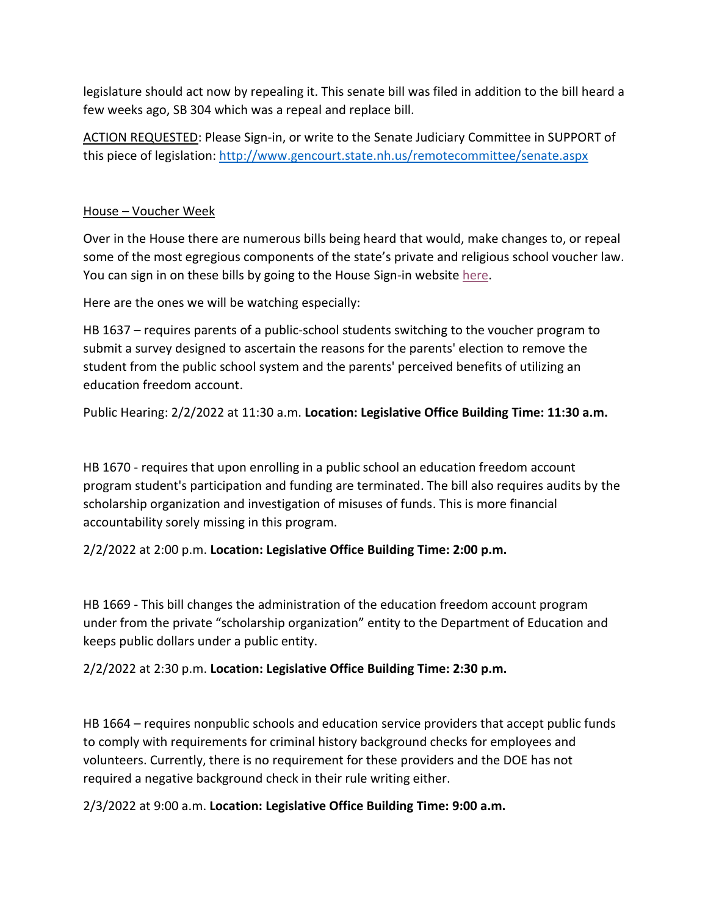legislature should act now by repealing it. This senate bill was filed in addition to the bill heard a few weeks ago, SB 304 which was a repeal and replace bill.

ACTION REQUESTED: Please Sign-in, or write to the Senate Judiciary Committee in SUPPORT of this piece of legislation[: http://www.gencourt.state.nh.us/remotecommittee/senate.aspx](http://www.gencourt.state.nh.us/remotecommittee/senate.aspx)

#### House – Voucher Week

Over in the House there are numerous bills being heard that would, make changes to, or repeal some of the most egregious components of the state's private and religious school voucher law. You can sign in on these bills by going to the House Sign-in website [here.](http://www.gencourt.state.nh.us/house/committees/remotetestimony/default.aspx)

Here are the ones we will be watching especially:

HB 1637 – requires parents of a public-school students switching to the voucher program to submit a survey designed to ascertain the reasons for the parents' election to remove the student from the public school system and the parents' perceived benefits of utilizing an education freedom account.

Public Hearing: 2/2/2022 at 11:30 a.m. **Location: Legislative Office Building Time: 11:30 a.m.**

HB 1670 - requires that upon enrolling in a public school an education freedom account program student's participation and funding are terminated. The bill also requires audits by the scholarship organization and investigation of misuses of funds. This is more financial accountability sorely missing in this program.

2/2/2022 at 2:00 p.m. **Location: Legislative Office Building Time: 2:00 p.m.**

HB 1669 - This bill changes the administration of the education freedom account program under from the private "scholarship organization" entity to the Department of Education and keeps public dollars under a public entity.

2/2/2022 at 2:30 p.m. **Location: Legislative Office Building Time: 2:30 p.m.**

HB 1664 – requires nonpublic schools and education service providers that accept public funds to comply with requirements for criminal history background checks for employees and volunteers. Currently, there is no requirement for these providers and the DOE has not required a negative background check in their rule writing either.

2/3/2022 at 9:00 a.m. **Location: Legislative Office Building Time: 9:00 a.m.**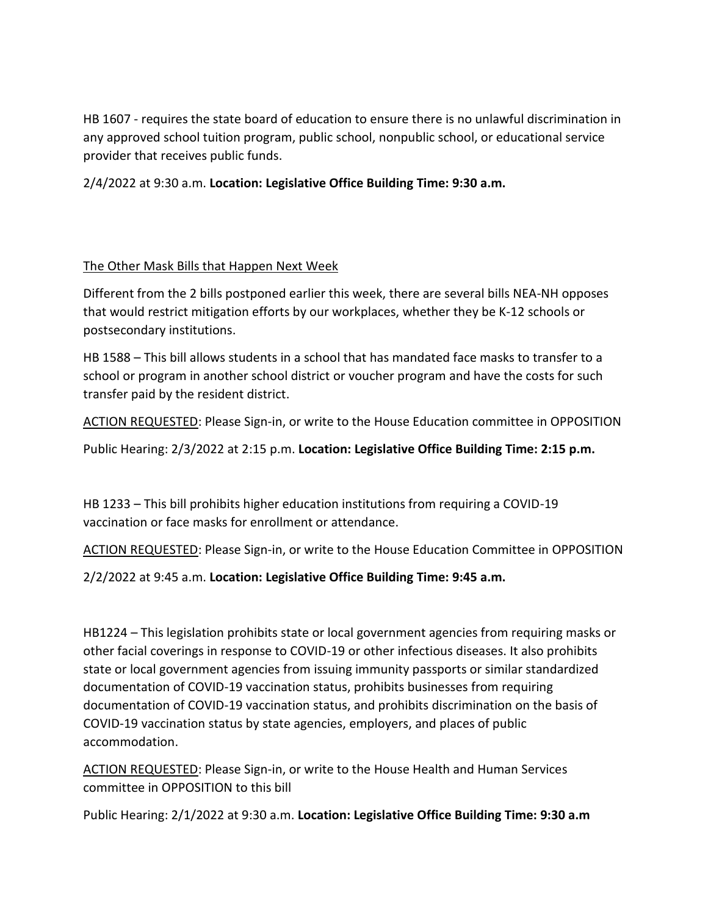HB 1607 - requires the state board of education to ensure there is no unlawful discrimination in any approved school tuition program, public school, nonpublic school, or educational service provider that receives public funds.

2/4/2022 at 9:30 a.m. **Location: Legislative Office Building Time: 9:30 a.m.**

## The Other Mask Bills that Happen Next Week

Different from the 2 bills postponed earlier this week, there are several bills NEA-NH opposes that would restrict mitigation efforts by our workplaces, whether they be K-12 schools or postsecondary institutions.

HB 1588 – This bill allows students in a school that has mandated face masks to transfer to a school or program in another school district or voucher program and have the costs for such transfer paid by the resident district.

ACTION REQUESTED: Please Sign-in, or write to the House Education committee in OPPOSITION

Public Hearing: 2/3/2022 at 2:15 p.m. **Location: Legislative Office Building Time: 2:15 p.m.**

HB 1233 – This bill prohibits higher education institutions from requiring a COVID-19 vaccination or face masks for enrollment or attendance.

ACTION REQUESTED: Please Sign-in, or write to the House Education Committee in OPPOSITION

2/2/2022 at 9:45 a.m. **Location: Legislative Office Building Time: 9:45 a.m.**

HB1224 – This legislation prohibits state or local government agencies from requiring masks or other facial coverings in response to COVID-19 or other infectious diseases. It also prohibits state or local government agencies from issuing immunity passports or similar standardized documentation of COVID-19 vaccination status, prohibits businesses from requiring documentation of COVID-19 vaccination status, and prohibits discrimination on the basis of COVID-19 vaccination status by state agencies, employers, and places of public accommodation.

ACTION REQUESTED: Please Sign-in, or write to the House Health and Human Services committee in OPPOSITION to this bill

Public Hearing: 2/1/2022 at 9:30 a.m. **Location: Legislative Office Building Time: 9:30 a.m**